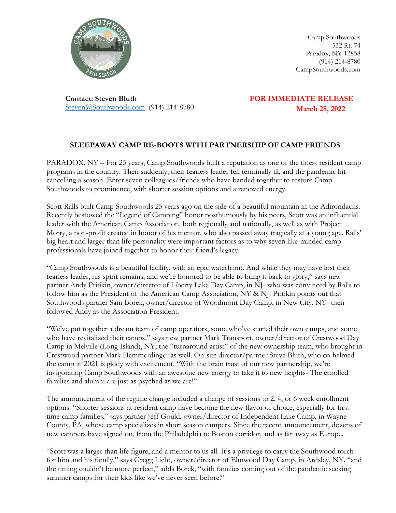

Camp Southwoods 532 Rt. 74 Paradox, NY 12858 (914) 214-8780 CampSouthwoods.com

**Contact: Steven Bluth** Steven@Southwoods.com (914) 214-8780  **FOR IMMEDIATE RELEASE March 28, 2022**

## **SLEEPAWAY CAMP RE-BOOTS WITH PARTNERSHIP OF CAMP FRIENDS**

PARADOX, NY – For 25 years, Camp Southwoods built a reputation as one of the finest resident camp programs in the country. Then suddenly, their fearless leader fell terminally ill, and the pandemic hitcancelling a season. Enter seven colleagues/friends who have banded together to restore Camp Southwoods to prominence, with shorter session options and a renewed energy.

Scott Ralls built Camp Southwoods 25 years ago on the side of a beautiful mountain in the Adirondacks. Recently bestowed the "Legend of Camping" honor posthumously by his peers, Scott was an influential leader with the American Camp Association, both regionally and nationally, as well as with Project Morry, a non-profit created in honor of his mentor, who also passed away tragically at a young age. Ralls' big heart and larger than life personality were important factors as to why seven like-minded camp professionals have joined together to honor their friend's legacy.

"Camp Southwoods is a beautiful facility, with an epic waterfront. And while they may have lost their fearless leader, his spirit remains, and we're honored to be able to bring it back to glory," says new partner Andy Pritikin, owner/director of Liberty Lake Day Camp, in NJ- who was convinced by Ralls to follow him as the President of the American Camp Association, NY & NJ. Pritikin points out that Southwoods partner Sam Borek, owner/director of Woodmont Day Camp, in New City, NY- then followed Andy as the Association President.

"We've put together a dream team of camp operators, some who've started their own camps, and some who have revitalized their camps," says new partner Mark Transport, owner/director of Crestwood Day Camp in Melville (Long Island), NY, the "turnaround artist" of the new ownership team, who brought in Crestwood partner Mark Hemmerdinger as well. On-site director/partner Steve Bluth, who co-helmed the camp in 2021 is giddy with excitement, "With the brain trust of our new partnership, we're invigorating Camp Southwoods with an awesome new energy to take it to new heights- The enrolled families and alumni are just as psyched as we are!"

The announcement of the regime change included a change of sessions to 2, 4, or 6 week enrollment options. "Shorter sessions at resident camp have become the new flavor of choice, especially for first time camp families," says partner Jeff Gould, owner/director of Independent Lake Camp, in Wayne County, PA, whose camp specializes in short season campers. Since the recent announcement, dozens of new campers have signed on, from the Philadelphia to Boston corridor, and as far away as Europe.

"Scott was a larger than life figure, and a mentor to us all. It's a privilege to carry the Southwood torch for him and his family," says Gregg Licht, owner/director of Elmwood Day Camp, in Ardsley, NY. "and the timing couldn't be more perfect," adds Borek, "with families coming out of the pandemic seeking summer camps for their kids like we've never seen before!"